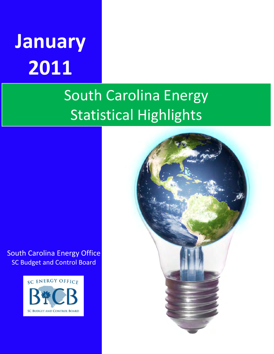# **January 2011**

## South Carolina Energy Statistical Highlights

South Carolina Energy Office SC Budget and Control Board



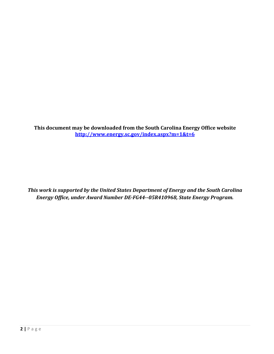**This document may be downloaded from the South Carolina Energy Office website <http://www.energy.sc.gov/index.aspx?m=1&t=6>**

*This work is supported by the United States Department of Energy and the South Carolina Energy Office, under Award Number DE-FG44--05R410968, State Energy Program.*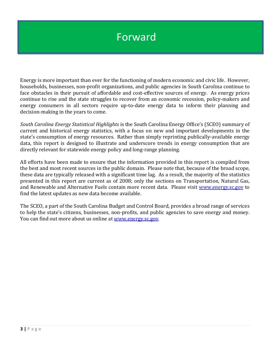#### Forward

Energy is more important than ever for the functioning of modern economic and civic life. However, households, businesses, non-profit organizations, and public agencies in South Carolina continue to face obstacles in their pursuit of affordable and cost-effective sources of energy. As energy prices continue to rise and the state struggles to recover from an economic recession, policy-makers and energy consumers in all sectors require up-to-date energy data to inform their planning and decision-making in the years to come.

*South Carolina Energy Statistical Highlights* is the South Carolina Energy Office's (SCEO) summary of current and historical energy statistics, with a focus on new and important developments in the state's consumption of energy resources. Rather than simply reprinting publically-available energy data, this report is designed to illustrate and underscore trends in energy consumption that are directly relevant for statewide energy policy and long-range planning.

All efforts have been made to ensure that the information provided in this report is compiled from the best and most recent sources in the public domain. Please note that, because of the broad scope, these data are typically released with a significant time lag. As a result, the majority of the statistics presented in this report are current as of 2008; only the sections on Transportation, Natural Gas, and Renewable and Alternative Fuels contain more recent data. Please visit [www.energy.sc.gov](http://www.energy.sc.gov/) to find the latest updates as new data become available.

The SCEO, a part of the South Carolina Budget and Control Board, provides a broad range of services to help the state's citizens, businesses, non-profits, and public agencies to save energy and money. You can find out more about us online at [www.energy.sc.gov.](http://www.energy.sc.gov/)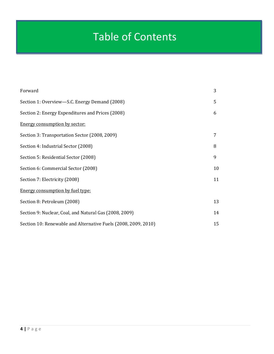#### Table of Contents

| Forward                                                        | 3  |
|----------------------------------------------------------------|----|
| Section 1: Overview—S.C. Energy Demand (2008)                  | 5  |
| Section 2: Energy Expenditures and Prices (2008)               | 6  |
| <b>Energy consumption by sector:</b>                           |    |
| Section 3: Transportation Sector (2008, 2009)                  | 7  |
| Section 4: Industrial Sector (2008)                            | 8  |
| Section 5: Residential Sector (2008)                           | 9  |
| Section 6: Commercial Sector (2008)                            | 10 |
| Section 7: Electricity (2008)                                  | 11 |
| <b>Energy consumption by fuel type:</b>                        |    |
| Section 8: Petroleum (2008)                                    | 13 |
| Section 9: Nuclear, Coal, and Natural Gas (2008, 2009)         | 14 |
| Section 10: Renewable and Alternative Fuels (2008, 2009, 2010) | 15 |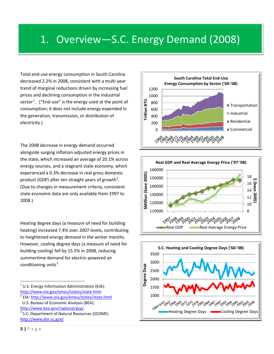#### 1. Overview—S.C. Energy Demand (2008)

Total end-use energy consumption in South Carolina decreased 2.2% in 2008, consistent with a multi-year trend of marginal reductions driven by increasing fuel prices and declining consumption in the industrial sector<sup>[1](#page-4-0)</sup>. ("End-use" is the energy used at the point of consumption; it does not include energy expended in the generation, transmission, or distribution of electricity.)

i

The 2008 decrease in energy demand occurred alongside surging inflation-adjusted energy prices in the state, which increased an average of 20.1% across energy sources, and a stagnant state economy, which experienced a 0.3% decrease in real gross domestic product (GDP) after ten straight years of growth<sup>[2](#page-4-1)</sup>. (Due to changes in measurement criteria, consistent state economic data are only available from 1997 to 2008.)

Heating degree days (a measure of need for building heating) increased 7.4% over 2007 levels, contributing to heightened energy demand in the winter months. However, cooling degree days (a measure of need for building cooling) fell by 15.5% in 2008, reducing summertime demand for electric-powered air conditioning units<sup>[3](#page-4-2)</sup>.

- <span id="page-4-0"></span>U.S. Energy Information Administration (EIA): http://www.eia.gov/emeu/states/state.html<br><sup>2</sup> EIA: http://www.eia.gov/emeu/states/state.html
- <span id="page-4-1"></span>U.S. Bureau of Economic Analysis (BEA):
- 







<span id="page-4-2"></span>http://www.bea.gov/regional/gsp/<br><sup>3</sup> S.C. Department of Natural Resources (SCDNR): <http://www.dnr.sc.gov/>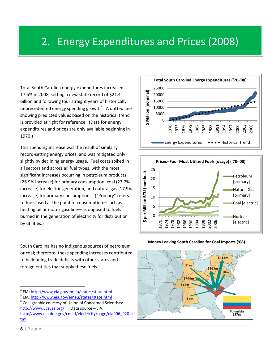#### 2. Energy Expenditures and Prices (2008)

Total South Carolina energy expenditures increased 17.5% in 2008, setting a new state record of \$21.4 billion and following four straight years of historically unprecedented energy spending growth<sup>[4](#page-5-0)</sup>. A dotted line showing predicted values based on the historical trend is provided at right for reference. (Data for energy expenditures and prices are only available beginning in 1970.)

This spending increase was the result of similarly record-setting energy prices, and was mitigated only slightly by declining energy usage. Fuel costs spiked in all sectors and across all fuel types, with the most significant increases occurring in petroleum products (26.9% increase) for primary consumption, coal (22.7% increase) for electric generation, and natural gas (17.9% increase) for primary consumption<sup>[5](#page-5-1)</sup>. ("Primary" refers to fuels used at the point of consumption—such as heating oil or motor gasoline—as opposed to fuels burned in the generation of electricity for distribution by utilities.)

South Carolina has no indigenous sources of petroleum or coal; therefore, these spending increases contributed to ballooning trade deficits with other states and foreign entities that supply these fuels.<sup>[6](#page-5-2)</sup>







#### **Money Leaving South Carolina for Coal Imports ('08)**

<span id="page-5-0"></span><sup>4</sup> EIA:<http://www.eia.gov/emeu/states/state.html>

<span id="page-5-1"></span><sup>&</sup>lt;sup>5</sup> EIA:<http://www.eia.gov/emeu/states/state.html>

<span id="page-5-2"></span> $6$  Coal graphic courtesy of Union of Concerned Scientists: <http://www.ucsusa.org/>Data source—EIA: [http://www.eia.doe.gov/cneaf/electricity/page/eia906\\_920.h](http://www.eia.doe.gov/cneaf/electricity/page/eia906_920.html) [tml](http://www.eia.doe.gov/cneaf/electricity/page/eia906_920.html)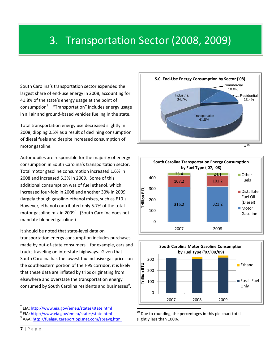#### 3. Transportation Sector (2008, 2009)

South Carolina's transportation sector expended the largest share of end-use energy in 2008, accounting for 41.8% of the state's energy usage at the point of consumption<sup>[7](#page-6-0)</sup>. "Transportation" includes energy usage in all air and ground-based vehicles fueling in the state.

Total transportation energy use decreased slightly in 2008, dipping 0.5% as a result of declining consumption of diesel fuels and despite increased consumption of motor gasoline.

Automobiles are responsible for the majority of energy consumption in South Carolina's transportation sector. Total motor gasoline consumption increased 1.6% in 2008 and increased 5.3% in 2009. Some of this additional consumption was of fuel ethanol, which increased four-fold in 2008 and another 30% in 2009 (largely though gasoline-ethanol mixes, such as E10.) However, ethanol contributed only 5.7% of the total motor gasoline mix in 2009 $^8$  $^8$ . (South Carolina does not mandate blended gasoline.)

It should be noted that state-level data on transportation energy consumption includes purchases made by out-of-state consumers—for example, cars and trucks traveling on interstate highways. Given that South Carolina has the lowest tax-inclusive gas prices on the southeastern portion of the I-95 corridor, it is likely that these data are inflated by trips originating from elsewhere and overstate the transportation energy consumed by South Carolina residents and businesses<sup>[9](#page-6-2)</sup>.







Due to rounding, the percentages in this pie chart total slightly less than 100%.

<u>.</u>

i

<span id="page-6-0"></span><sup>&</sup>lt;sup>7</sup> EIA: <http://www.eia.gov/emeu/states/state.html>

<span id="page-6-1"></span><sup>8</sup> EIA:<http://www.eia.gov/emeu/states/state.html>

<span id="page-6-2"></span><sup>&</sup>lt;sup>9</sup> AAA: http://fuelgaugereport.opisnet.com/sbsavg.html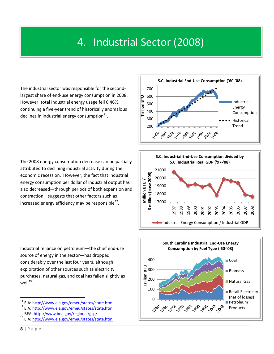#### 4. Industrial Sector (2008)

The industrial sector was responsible for the secondlargest share of end-use energy consumption in 2008. However, total industrial energy usage fell 6.46%, continuing a five-year trend of historically anomalous declines in industrial energy consumption $^{11}$ .

l

The 2008 energy consumption decrease can be partially attributed to declining industrial activity during the economic recession. However, the fact that industrial energy consumption per dollar of industrial output has also decreased—through periods of both expansion and contraction—suggests that other factors such as increased energy efficiency may be responsible  $^{12}$ .

Industrial reliance on petroleum—the chief end-use source of energy in the sector—has dropped considerably over the last four years, although exploitation of other sources such as electricity purchases, natural gas, and coal has fallen slightly as  $well<sup>13</sup>$  $well<sup>13</sup>$  $well<sup>13</sup>$ .







<u>.</u>

<span id="page-7-1"></span><span id="page-7-0"></span><sup>&</sup>lt;sup>11</sup> EIA: <http://www.eia.gov/emeu/states/state.html> 12 EIA:<http://www.eia.gov/emeu/states/state.html> BEA[: http://www.bea.gov/regional/gsp/](http://www.bea.gov/regional/gsp/)

<span id="page-7-2"></span><sup>13</sup> EIA:<http://www.eia.gov/emeu/states/state.html>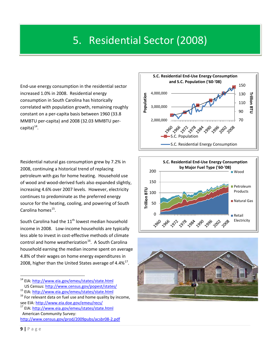#### 5. Residential Sector (2008)

End-use energy consumption in the residential sector increased 1.0% in 2008. Residential energy consumption in South Carolina has historically correlated with population growth, remaining roughly constant on a per-capita basis between 1960 (33.8 MMBTU per-capita) and 2008 (32.03 MMBTU percapita) $^{14}$  $^{14}$  $^{14}$ .

i

Residential natural gas consumption grew by 7.2% in 2008, continuing a historical trend of replacing petroleum with gas for home heating. Household use of wood and wood-derived fuels also expanded slightly, increasing 4.6% over 2007 levels. However, electricity continues to predominate as the preferred energy source for the heating, cooling, and powering of South Carolina homes<sup>[15](#page-8-1)</sup>.

South Carolina had the  $11<sup>th</sup>$  lowest median household income in 2008. Low-income households are typically less able to invest in cost-effective methods of climate control and home weatherization<sup>[16](#page-8-2)</sup>. A South Carolina household earning the median income spent on average 4.8% of their wages on home energy expenditures in 2008, higher than the United States average of  $4.4\%^{17}$  $4.4\%^{17}$  $4.4\%^{17}$ .







<u>.</u>

<sup>&</sup>lt;sup>14</sup> EIA: <http://www.eia.gov/emeu/states/state.html>

<span id="page-8-1"></span><span id="page-8-0"></span>US Census:<http://www.census.gov/popest/states/>15 EIA:<http://www.eia.gov/emeu/states/state.html>

<span id="page-8-2"></span> $16$  For relevant data on fuel use and home quality by income, see EIA: http://www.eia.doe.gov/emeu/recs/<br><sup>17</sup> EIA:<http://www.eia.gov/emeu/states/state.html>

<span id="page-8-3"></span>American Community Survey: <http://www.census.gov/prod/2009pubs/acsbr08-2.pdf>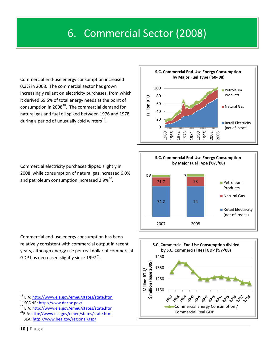#### 6. Commercial Sector (2008)

Commercial end-use energy consumption increased 0.3% in 2008. The commercial sector has grown increasingly reliant on electricity purchases, from which it derived 69.5% of total energy needs at the point of consumption in 2008 $^{18}$  $^{18}$  $^{18}$ . The commercial demand for natural gas and fuel oil spiked between 1976 and 1978 during a period of unusually cold winters $^{19}$  $^{19}$  $^{19}$ .

Commercial electricity purchases dipped slightly in 2008, while consumption of natural gas increased 6.0% and petroleum consumption increased 2.9%<sup>[20](#page-9-2)</sup>.

Commercial end-use energy consumption has been relatively consistent with commercial output in recent years, although energy use per real dollar of commercial GDP has decreased slightly since  $1997^{21}$  $1997^{21}$  $1997^{21}$ .

- <sup>18</sup> EIA: <http://www.eia.gov/emeu/states/state.html>
- <span id="page-9-1"></span><span id="page-9-0"></span><sup>19</sup> SCDNR:<http://www.dnr.sc.gov/>
- <span id="page-9-3"></span><span id="page-9-2"></span><sup>20</sup> EIA:<http://www.eia.gov/emeu/states/state.html> 21EIA:<http://www.eia.gov/emeu/states/state.html>
- BEA:<http://www.bea.gov/regional/gsp/>





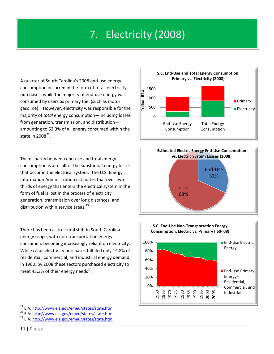#### 7. Electricity (2008)

A quarter of South Carolina's 2008 end-use energy consumption occurred in the form of retail electricity purchases, while the majority of end-use energy was consumed by users as primary fuel (such as motor gasoline). However, electricity was responsible for the majority of *total* energy consumption—including losses from generation, transmission, and distribution amounting to 52.3% of all energy consumed within the state in  $2008^{22}$ .

The disparity between end-use and total energy consumption is a result of the substantial energy losses that occur in the electrical system. The U.S. Energy Information Administration estimates that over twothirds of energy that enters the electrical system in the form of fuel is lost in the process of electricity generation, transmission over long distances, and distribution within service areas. $^{23}$ 

There has been a structural shift in South Carolina energy usage, with non-transportation energy consumers becoming increasingly reliant on electricity. While retail electricity purchases fulfilled only 14.8% of residential, commercial, and industrial energy demand in 1960, by 2008 these sectors purchased electricity to meet 43.3% of their energy needs<sup>[24](#page-10-2)</sup>.







<u>.</u>

<span id="page-10-0"></span><sup>&</sup>lt;sup>22</sup> EIA: <http://www.eia.gov/emeu/states/state.html>

<span id="page-10-1"></span><sup>&</sup>lt;sup>23</sup> EIA:<http://www.eia.gov/emeu/states/state.html>

<span id="page-10-2"></span><sup>&</sup>lt;sup>24</sup> EIA:<http://www.eia.gov/emeu/states/state.html>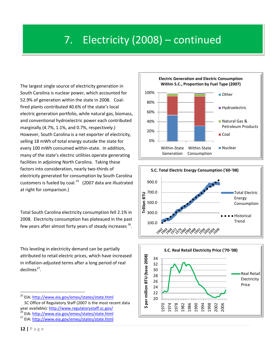#### 7. Electricity (2008) – continued

The largest single source of electricity generation in South Carolina is nuclear power, which accounted for 52.9% of generation within the state in 2008. Coalfired plants contributed 40.6% of the state's local electric generation portfolio, while natural gas, biomass, and conventional hydroelectric power each contributed marginally (4.7%, 1.1%, and 0.7%, respectively.) However, South Carolina is a net exporter of electricity, selling 18 mWh of total energy outside the state for every 100 mWh consumed within-state. In addition, many of the state's electric utilities operate generating facilities in adjoining North Carolina. Taking these factors into consideration, nearly two-thirds of electricity generated for consumption by South Carolina customers is fueled by coal. $^{25}$  $^{25}$  $^{25}$  (2007 data are illustrated at right for comparison.)

Total South Carolina electricity consumption fell 2.1% in 2008. Electricity consumption has plateaued in the past few years after almost forty years of steady increases  $26$ .

This leveling in electricity demand can be partially attributed to retail electric prices, which have increased in inflation-adjusted terms after a long period of real  $declines<sup>27</sup>$  $declines<sup>27</sup>$  $declines<sup>27</sup>$ .







<span id="page-11-2"></span><span id="page-11-1"></span><span id="page-11-0"></span><sup>&</sup>lt;sup>25</sup> EIA:<http://www.eia.gov/emeu/states/state.html> SC Office of Regulatory Staff (2007 is the most recent data year available): http://www.regulatorystaff.sc.gov/<br><sup>26</sup> EIA:<http://www.eia.gov/emeu/states/state.html> <sup>27</sup> EIA:<http://www.eia.gov/emeu/states/state.html>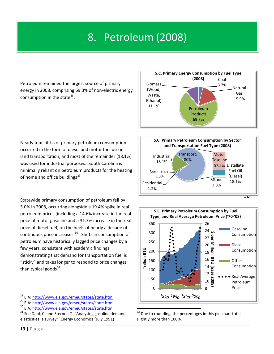### 8. Petroleum (2008)

Petroleum remained the largest source of primary energy in 2008, comprising 69.3% of non-electric energy consumption in the state $^{28}$ .

Nearly four-fifths of primary petroleum consumption occurred in the form of diesel and motor fuel use in land transportation, and most of the remainder (18.1%) was used for industrial purposes. South Carolina is minimally reliant on petroleum products for the heating of home and office buildings $^{29}$ .

Statewide primary consumption of petroleum fell by 5.0% in 2008, occurring alongside a 19.4% spike in real petroleum prices (including a 14.6% increase in the real price of motor gasoline and a 31.7% increase in the real price of diesel fuel) on the heels of nearly a decade of continuous price increases. [30](#page-12-2) Shifts in consumption of petroleum have historically lagged price changes by a few years, consistent with academic findings demonstrating that demand for transportation fuel is "sticky" and takes longer to respond to price changes than typical goods $^{31}$  $^{31}$  $^{31}$ .







Due to rounding, the percentages in this pie chart total slightly more than 100%.

<span id="page-12-0"></span><sup>&</sup>lt;sup>28</sup> EIA: <http://www.eia.gov/emeu/states/state.html>

<span id="page-12-1"></span><sup>29</sup> EIA:<http://www.eia.gov/emeu/states/state.html>

<span id="page-12-2"></span><sup>&</sup>lt;sup>30</sup> EIA:<http://www.eia.gov/emeu/states/state.html>

<span id="page-12-3"></span> $31$  See Dahl, C. and Sterner, T. "Analysing gasoline demand elasticities: a survey". Energy Economics (July 1991)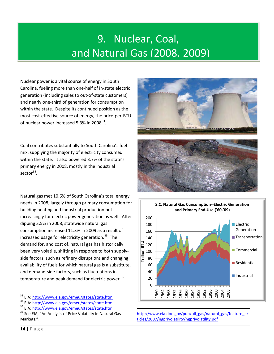### 9. Nuclear, Coal, and Natural Gas (2008, 2009)

Nuclear power is a vital source of energy in South Carolina, fueling more than one-half of in-state electric generation (including sales to out-of-state customers) and nearly one-third of generation for consumption within the state. Despite its continued position as the most cost-effective source of energy, the price-per-BTU of nuclear power increased 5.3% in 2008 $^{33}$  $^{33}$  $^{33}$ .

j

Coal contributes substantially to South Carolina's fuel mix, supplying the majority of electricity consumed within the state. It also powered 3.7% of the state's primary energy in 2008, mostly in the industrial sector $34$ .

Natural gas met 10.6% of South Carolina's total energy needs in 2008, largely through primary consumption for building heating and industrial production but increasingly for electric power generation as well. After dipping 3.5% in 2008, statewide natural gas consumption increased 11.3% in 2009 as a result of increased usage for electricity generation. [35](#page-13-2) The demand for, and cost of, natural gas has historically been very volatile, shifting in response to both supplyside factors, such as refinery disruptions and changing availability of fuels for which natural gas is a substitute, and demand-side factors, such as fluctuations in temperature and peak demand for electric power.<sup>[36](#page-13-3)</sup>







[http://www.eia.doe.gov/pub/oil\\_gas/natural\\_gas/feature\\_ar](http://www.eia.doe.gov/pub/oil_gas/natural_gas/feature_articles/2007/ngprivolatility/ngprivolatility.pdf) [ticles/2007/ngprivolatility/ngprivolatility.pdf](http://www.eia.doe.gov/pub/oil_gas/natural_gas/feature_articles/2007/ngprivolatility/ngprivolatility.pdf) 

<span id="page-13-0"></span><sup>&</sup>lt;sup>33</sup> EIA: <http://www.eia.gov/emeu/states/state.html>

<span id="page-13-1"></span><sup>34</sup> EIA:<http://www.eia.gov/emeu/states/state.html>

<span id="page-13-2"></span><sup>35</sup> EIA:<http://www.eia.gov/emeu/states/state.html>

<span id="page-13-3"></span><sup>&</sup>lt;sup>36</sup> See EIA, "An Analysis of Price Volatility in Natural Gas Markets.":